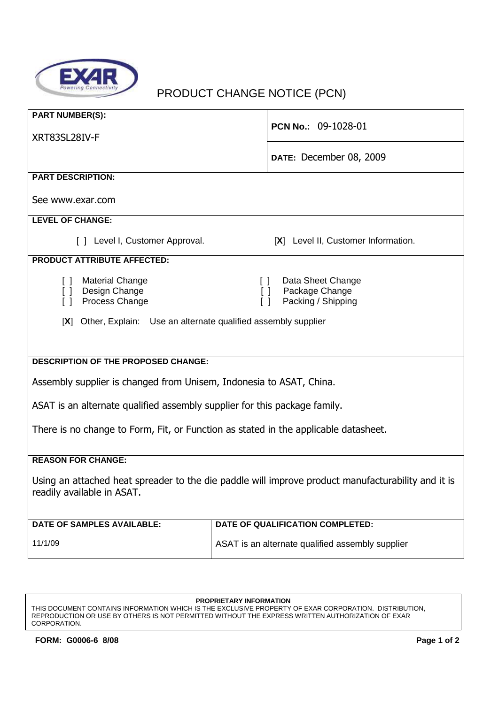

## PRODUCT CHANGE NOTICE (PCN)

| <b>PART NUMBER(S):</b><br>XRT83SL28IV-F                                                                                          | PCN No.: 09-1028-01                                                                     |  |
|----------------------------------------------------------------------------------------------------------------------------------|-----------------------------------------------------------------------------------------|--|
|                                                                                                                                  | DATE: December 08, 2009                                                                 |  |
| <b>PART DESCRIPTION:</b>                                                                                                         |                                                                                         |  |
| See www.exar.com                                                                                                                 |                                                                                         |  |
| <b>LEVEL OF CHANGE:</b>                                                                                                          |                                                                                         |  |
| [ ] Level I, Customer Approval.                                                                                                  | [X] Level II, Customer Information.                                                     |  |
| <b>PRODUCT ATTRIBUTE AFFECTED:</b>                                                                                               |                                                                                         |  |
| <b>Material Change</b><br>$\begin{smallmatrix} \end{smallmatrix}$<br>Design Change<br>$\Box$<br>Process Change<br>$\Box$         | Data Sheet Change<br>$\Box$<br>Package Change<br>$\Box$<br>Packing / Shipping<br>$\Box$ |  |
| Other, Explain: Use an alternate qualified assembly supplier<br>[X]                                                              |                                                                                         |  |
|                                                                                                                                  |                                                                                         |  |
|                                                                                                                                  |                                                                                         |  |
| <b>DESCRIPTION OF THE PROPOSED CHANGE:</b>                                                                                       |                                                                                         |  |
| Assembly supplier is changed from Unisem, Indonesia to ASAT, China.                                                              |                                                                                         |  |
| ASAT is an alternate qualified assembly supplier for this package family.                                                        |                                                                                         |  |
| There is no change to Form, Fit, or Function as stated in the applicable datasheet.                                              |                                                                                         |  |
| <b>REASON FOR CHANGE:</b>                                                                                                        |                                                                                         |  |
| Using an attached heat spreader to the die paddle will improve product manufacturability and it is<br>readily available in ASAT. |                                                                                         |  |
| <b>DATE OF SAMPLES AVAILABLE:</b>                                                                                                | DATE OF QUALIFICATION COMPLETED:                                                        |  |
| 11/1/09                                                                                                                          | ASAT is an alternate qualified assembly supplier                                        |  |

**PROPRIETARY INFORMATION**

THIS DOCUMENT CONTAINS INFORMATION WHICH IS THE EXCLUSIVE PROPERTY OF EXAR CORPORATION. DISTRIBUTION, REPRODUCTION OR USE BY OTHERS IS NOT PERMITTED WITHOUT THE EXPRESS WRITTEN AUTHORIZATION OF EXAR CORPORATION.